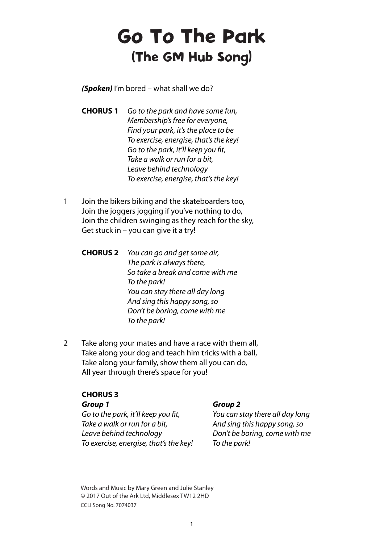# Go To The Park (The GM Hub Song)

*(Spoken)* I'm bored – what shall we do?

- **CHORUS 1** Go to the park and have some fun, Membership's free for everyone, Find your park, it's the place to be To exercise, energise, that's the key! Go to the park, it'll keep you fit, Take a walk or run for a bit, Leave behind technology To exercise, energise, that's the key!
- 1 Join the bikers biking and the skateboarders too, Join the joggers jogging if you've nothing to do, Join the children swinging as they reach for the sky, Get stuck in – you can give it a try!
	- **CHORUS 2** You can go and get some air, The park is always there, So take a break and come with me To the park! You can stay there all day long And sing this happy song, so Don't be boring, come with me To the park!
- 2 Take along your mates and have a race with them all, Take along your dog and teach him tricks with a ball, Take along your family, show them all you can do, All year through there's space for you!

## **CHORUS 3**

Go to the park, it'll keep you fit, You can stay there all day long Take a walk or run for a bit, and sing this happy song, so Leave behind technology Don't be boring, come with me To exercise, energise, that's the key! To the park!

### *Group 1 Group 2*

Words and Music by Mary Green and Julie Stanley © 2017 Out of the Ark Ltd, Middlesex TW12 2HD CCLI Song No. 7074037